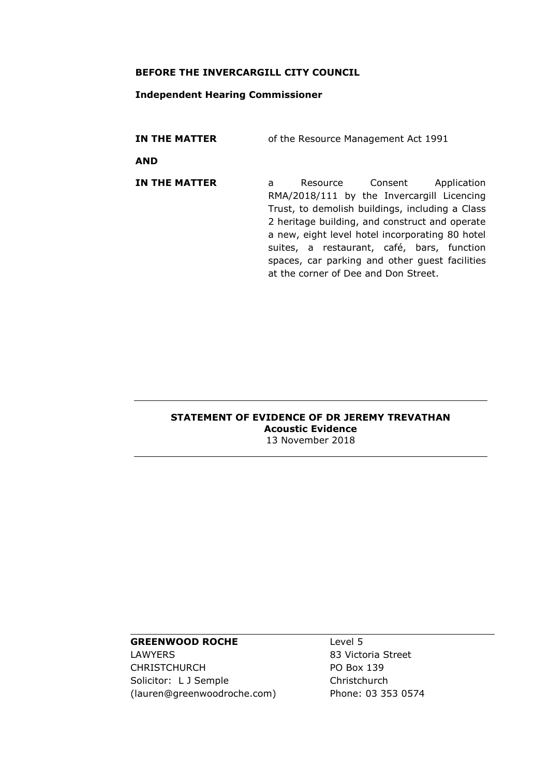#### **BEFORE THE INVERCARGILL CITY COUNCIL**

#### **Independent Hearing Commissioner**

**IN THE MATTER** of the Resource Management Act 1991

**AND**

**IN THE MATTER** a Resource Consent Application RMA/2018/111 by the Invercargill Licencing Trust, to demolish buildings, including a Class 2 heritage building, and construct and operate a new, eight level hotel incorporating 80 hotel suites, a restaurant, café, bars, function spaces, car parking and other guest facilities at the corner of Dee and Don Street.

#### **STATEMENT OF EVIDENCE OF DR JEREMY TREVATHAN Acoustic Evidence** 13 November 2018

# **GREENWOOD ROCHE**

LAWYERS CHRISTCHURCH Solicitor: L J Semple (lauren@greenwoodroche.com) Level 5 83 Victoria Street PO Box 139 Christchurch Phone: 03 353 0574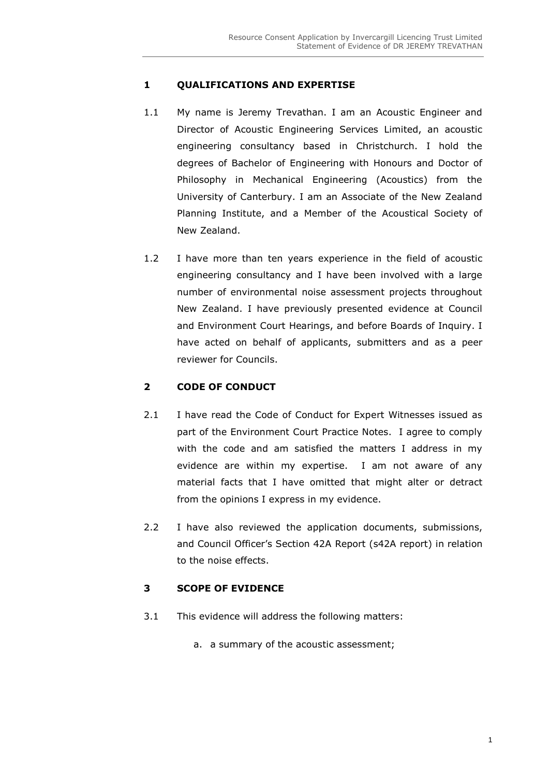## **1 QUALIFICATIONS AND EXPERTISE**

- 1.1 My name is Jeremy Trevathan. I am an Acoustic Engineer and Director of Acoustic Engineering Services Limited, an acoustic engineering consultancy based in Christchurch. I hold the degrees of Bachelor of Engineering with Honours and Doctor of Philosophy in Mechanical Engineering (Acoustics) from the University of Canterbury. I am an Associate of the New Zealand Planning Institute, and a Member of the Acoustical Society of New Zealand.
- 1.2 I have more than ten years experience in the field of acoustic engineering consultancy and I have been involved with a large number of environmental noise assessment projects throughout New Zealand. I have previously presented evidence at Council and Environment Court Hearings, and before Boards of Inquiry. I have acted on behalf of applicants, submitters and as a peer reviewer for Councils.

### **2 CODE OF CONDUCT**

- 2.1 I have read the Code of Conduct for Expert Witnesses issued as part of the Environment Court Practice Notes. I agree to comply with the code and am satisfied the matters I address in my evidence are within my expertise. I am not aware of any material facts that I have omitted that might alter or detract from the opinions I express in my evidence.
- 2.2 I have also reviewed the application documents, submissions, and Council Officer's Section 42A Report (s42A report) in relation to the noise effects.

## **3 SCOPE OF EVIDENCE**

- 3.1 This evidence will address the following matters:
	- a. a summary of the acoustic assessment;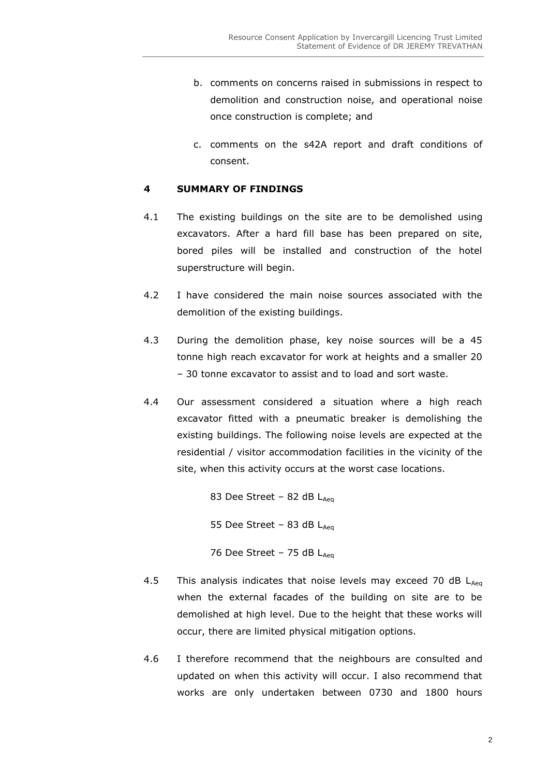- b. comments on concerns raised in submissions in respect to demolition and construction noise, and operational noise once construction is complete; and
- c. comments on the s42A report and draft conditions of consent.

### **4 SUMMARY OF FINDINGS**

- 4.1 The existing buildings on the site are to be demolished using excavators. After a hard fill base has been prepared on site, bored piles will be installed and construction of the hotel superstructure will begin.
- 4.2 I have considered the main noise sources associated with the demolition of the existing buildings.
- 4.3 During the demolition phase, key noise sources will be a 45 tonne high reach excavator for work at heights and a smaller 20 – 30 tonne excavator to assist and to load and sort waste.
- 4.4 Our assessment considered a situation where a high reach excavator fitted with a pneumatic breaker is demolishing the existing buildings. The following noise levels are expected at the residential / visitor accommodation facilities in the vicinity of the site, when this activity occurs at the worst case locations.

83 Dee Street – 82 dB  $L_{Aea}$ 

55 Dee Street – 83 dB  $L_{Aeq}$ 

76 Dee Street – 75 dB  $L_{Aea}$ 

- 4.5 This analysis indicates that noise levels may exceed 70 dB  $L_{Aeq}$ when the external facades of the building on site are to be demolished at high level. Due to the height that these works will occur, there are limited physical mitigation options.
- 4.6 I therefore recommend that the neighbours are consulted and updated on when this activity will occur. I also recommend that works are only undertaken between 0730 and 1800 hours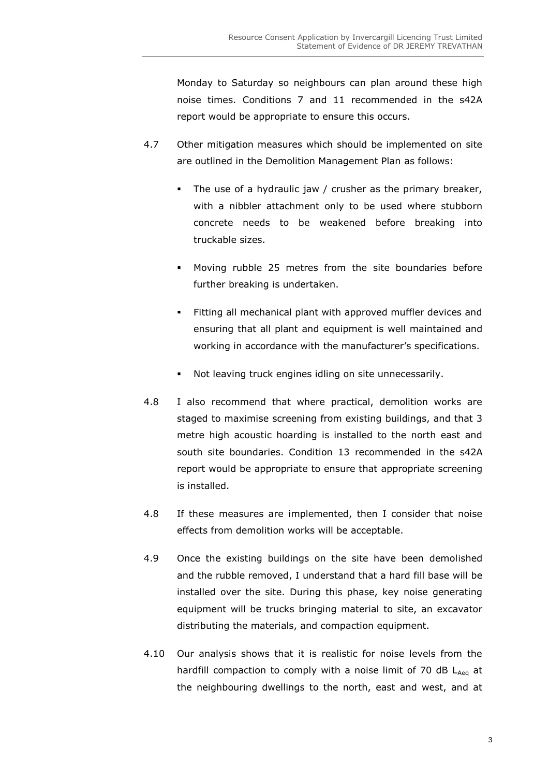Monday to Saturday so neighbours can plan around these high noise times. Conditions 7 and 11 recommended in the s42A report would be appropriate to ensure this occurs.

- 4.7 Other mitigation measures which should be implemented on site are outlined in the Demolition Management Plan as follows:
	- The use of a hydraulic jaw / crusher as the primary breaker, with a nibbler attachment only to be used where stubborn concrete needs to be weakened before breaking into truckable sizes.
	- Moving rubble 25 metres from the site boundaries before further breaking is undertaken.
	- **Fitting all mechanical plant with approved muffler devices and** ensuring that all plant and equipment is well maintained and working in accordance with the manufacturer's specifications.
	- Not leaving truck engines idling on site unnecessarily.
- 4.8 I also recommend that where practical, demolition works are staged to maximise screening from existing buildings, and that 3 metre high acoustic hoarding is installed to the north east and south site boundaries. Condition 13 recommended in the s42A report would be appropriate to ensure that appropriate screening is installed.
- 4.8 If these measures are implemented, then I consider that noise effects from demolition works will be acceptable.
- 4.9 Once the existing buildings on the site have been demolished and the rubble removed, I understand that a hard fill base will be installed over the site. During this phase, key noise generating equipment will be trucks bringing material to site, an excavator distributing the materials, and compaction equipment.
- 4.10 Our analysis shows that it is realistic for noise levels from the hardfill compaction to comply with a noise limit of 70 dB  $L_{Aea}$  at the neighbouring dwellings to the north, east and west, and at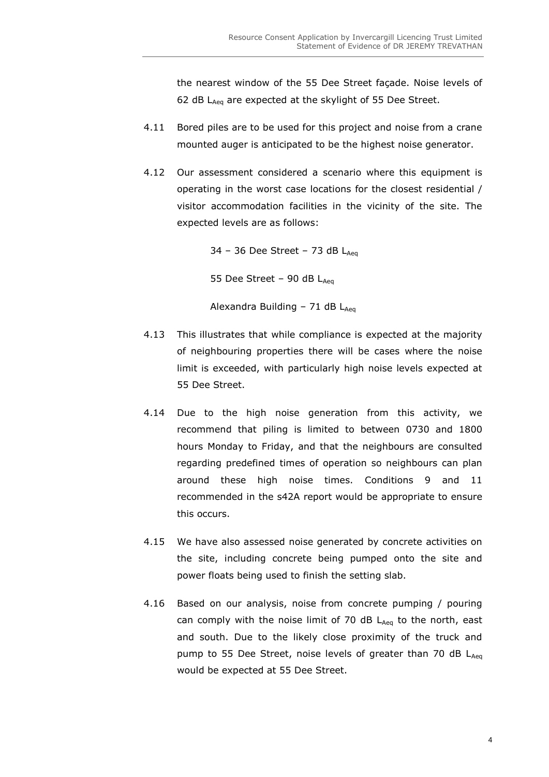the nearest window of the 55 Dee Street façade. Noise levels of 62 dB  $L_{Aeq}$  are expected at the skylight of 55 Dee Street.

- 4.11 Bored piles are to be used for this project and noise from a crane mounted auger is anticipated to be the highest noise generator.
- 4.12 Our assessment considered a scenario where this equipment is operating in the worst case locations for the closest residential / visitor accommodation facilities in the vicinity of the site. The expected levels are as follows:

34 – 36 Dee Street – 73 dB  $L_{\text{Aeg}}$ 55 Dee Street – 90 dB  $L_{Aea}$ Alexandra Building - 71 dB  $L_{Aeq}$ 

- 4.13 This illustrates that while compliance is expected at the majority of neighbouring properties there will be cases where the noise limit is exceeded, with particularly high noise levels expected at 55 Dee Street.
- 4.14 Due to the high noise generation from this activity, we recommend that piling is limited to between 0730 and 1800 hours Monday to Friday, and that the neighbours are consulted regarding predefined times of operation so neighbours can plan around these high noise times. Conditions 9 and 11 recommended in the s42A report would be appropriate to ensure this occurs.
- 4.15 We have also assessed noise generated by concrete activities on the site, including concrete being pumped onto the site and power floats being used to finish the setting slab.
- 4.16 Based on our analysis, noise from concrete pumping / pouring can comply with the noise limit of 70 dB  $L_{Aeq}$  to the north, east and south. Due to the likely close proximity of the truck and pump to 55 Dee Street, noise levels of greater than 70 dB LAeq would be expected at 55 Dee Street.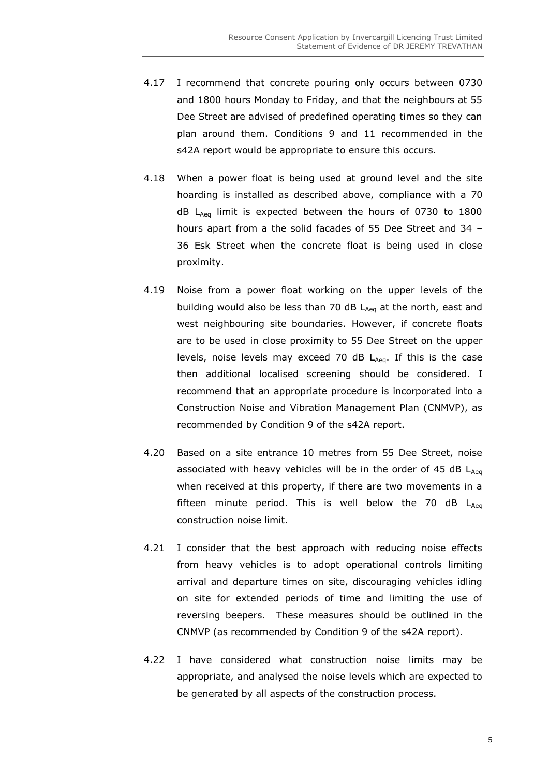- 4.17 I recommend that concrete pouring only occurs between 0730 and 1800 hours Monday to Friday, and that the neighbours at 55 Dee Street are advised of predefined operating times so they can plan around them. Conditions 9 and 11 recommended in the s42A report would be appropriate to ensure this occurs.
- 4.18 When a power float is being used at ground level and the site hoarding is installed as described above, compliance with a 70  $dB$  L<sub>Aeq</sub> limit is expected between the hours of 0730 to 1800 hours apart from a the solid facades of 55 Dee Street and 34 – 36 Esk Street when the concrete float is being used in close proximity.
- 4.19 Noise from a power float working on the upper levels of the building would also be less than 70 dB  $L_{Aeq}$  at the north, east and west neighbouring site boundaries. However, if concrete floats are to be used in close proximity to 55 Dee Street on the upper levels, noise levels may exceed 70 dB  $L_{Aeq}$ . If this is the case then additional localised screening should be considered. I recommend that an appropriate procedure is incorporated into a Construction Noise and Vibration Management Plan (CNMVP), as recommended by Condition 9 of the s42A report.
- 4.20 Based on a site entrance 10 metres from 55 Dee Street, noise associated with heavy vehicles will be in the order of 45 dB  $L_{Aeq}$ when received at this property, if there are two movements in a fifteen minute period. This is well below the 70 dB  $L_{Aea}$ construction noise limit.
- 4.21 I consider that the best approach with reducing noise effects from heavy vehicles is to adopt operational controls limiting arrival and departure times on site, discouraging vehicles idling on site for extended periods of time and limiting the use of reversing beepers. These measures should be outlined in the CNMVP (as recommended by Condition 9 of the s42A report).
- 4.22 I have considered what construction noise limits may be appropriate, and analysed the noise levels which are expected to be generated by all aspects of the construction process.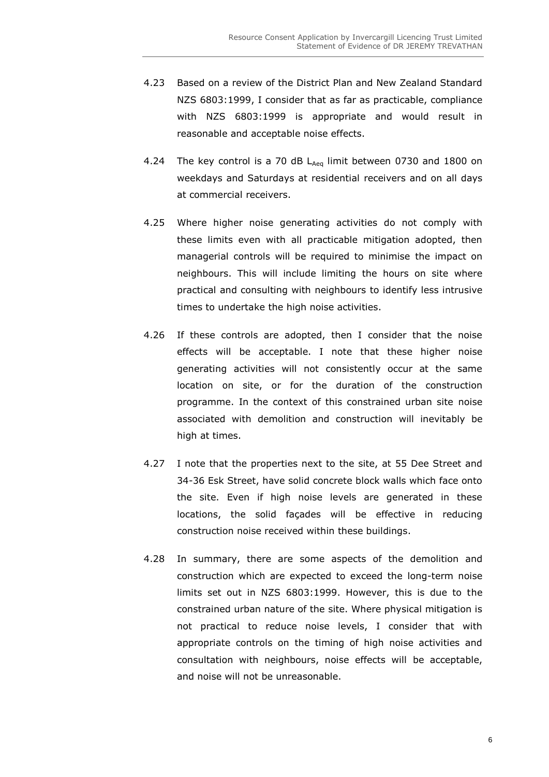- 4.23 Based on a review of the District Plan and New Zealand Standard NZS 6803:1999, I consider that as far as practicable, compliance with NZS 6803:1999 is appropriate and would result in reasonable and acceptable noise effects.
- 4.24 The key control is a 70 dB  $L_{Aeq}$  limit between 0730 and 1800 on weekdays and Saturdays at residential receivers and on all days at commercial receivers.
- 4.25 Where higher noise generating activities do not comply with these limits even with all practicable mitigation adopted, then managerial controls will be required to minimise the impact on neighbours. This will include limiting the hours on site where practical and consulting with neighbours to identify less intrusive times to undertake the high noise activities.
- 4.26 If these controls are adopted, then I consider that the noise effects will be acceptable. I note that these higher noise generating activities will not consistently occur at the same location on site, or for the duration of the construction programme. In the context of this constrained urban site noise associated with demolition and construction will inevitably be high at times.
- 4.27 I note that the properties next to the site, at 55 Dee Street and 34-36 Esk Street, have solid concrete block walls which face onto the site. Even if high noise levels are generated in these locations, the solid façades will be effective in reducing construction noise received within these buildings.
- 4.28 In summary, there are some aspects of the demolition and construction which are expected to exceed the long-term noise limits set out in NZS 6803:1999. However, this is due to the constrained urban nature of the site. Where physical mitigation is not practical to reduce noise levels, I consider that with appropriate controls on the timing of high noise activities and consultation with neighbours, noise effects will be acceptable, and noise will not be unreasonable.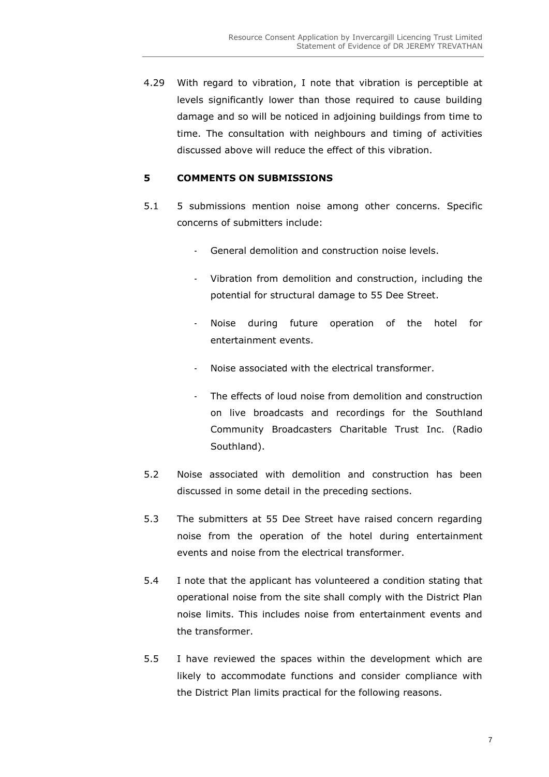4.29 With regard to vibration, I note that vibration is perceptible at levels significantly lower than those required to cause building damage and so will be noticed in adjoining buildings from time to time. The consultation with neighbours and timing of activities discussed above will reduce the effect of this vibration.

### **5 COMMENTS ON SUBMISSIONS**

- 5.1 5 submissions mention noise among other concerns. Specific concerns of submitters include:
	- General demolition and construction noise levels.
	- Vibration from demolition and construction, including the potential for structural damage to 55 Dee Street.
	- Noise during future operation of the hotel for entertainment events.
	- Noise associated with the electrical transformer.
	- The effects of loud noise from demolition and construction on live broadcasts and recordings for the Southland Community Broadcasters Charitable Trust Inc. (Radio Southland).
- 5.2 Noise associated with demolition and construction has been discussed in some detail in the preceding sections.
- 5.3 The submitters at 55 Dee Street have raised concern regarding noise from the operation of the hotel during entertainment events and noise from the electrical transformer.
- 5.4 I note that the applicant has volunteered a condition stating that operational noise from the site shall comply with the District Plan noise limits. This includes noise from entertainment events and the transformer.
- 5.5 I have reviewed the spaces within the development which are likely to accommodate functions and consider compliance with the District Plan limits practical for the following reasons.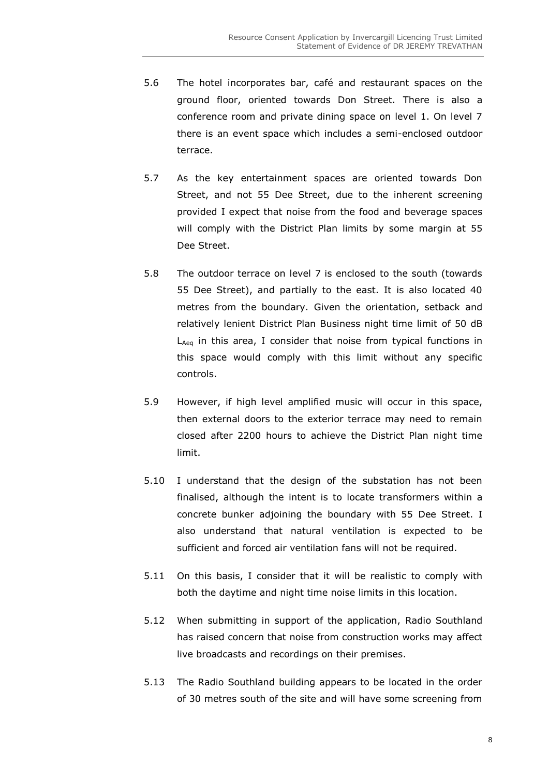- 5.6 The hotel incorporates bar, café and restaurant spaces on the ground floor, oriented towards Don Street. There is also a conference room and private dining space on level 1. On level 7 there is an event space which includes a semi-enclosed outdoor terrace.
- 5.7 As the key entertainment spaces are oriented towards Don Street, and not 55 Dee Street, due to the inherent screening provided I expect that noise from the food and beverage spaces will comply with the District Plan limits by some margin at 55 Dee Street.
- 5.8 The outdoor terrace on level 7 is enclosed to the south (towards 55 Dee Street), and partially to the east. It is also located 40 metres from the boundary. Given the orientation, setback and relatively lenient District Plan Business night time limit of 50 dB  $L_{Aeq}$  in this area, I consider that noise from typical functions in this space would comply with this limit without any specific controls.
- 5.9 However, if high level amplified music will occur in this space, then external doors to the exterior terrace may need to remain closed after 2200 hours to achieve the District Plan night time limit.
- 5.10 I understand that the design of the substation has not been finalised, although the intent is to locate transformers within a concrete bunker adjoining the boundary with 55 Dee Street. I also understand that natural ventilation is expected to be sufficient and forced air ventilation fans will not be required.
- 5.11 On this basis, I consider that it will be realistic to comply with both the daytime and night time noise limits in this location.
- 5.12 When submitting in support of the application, Radio Southland has raised concern that noise from construction works may affect live broadcasts and recordings on their premises.
- 5.13 The Radio Southland building appears to be located in the order of 30 metres south of the site and will have some screening from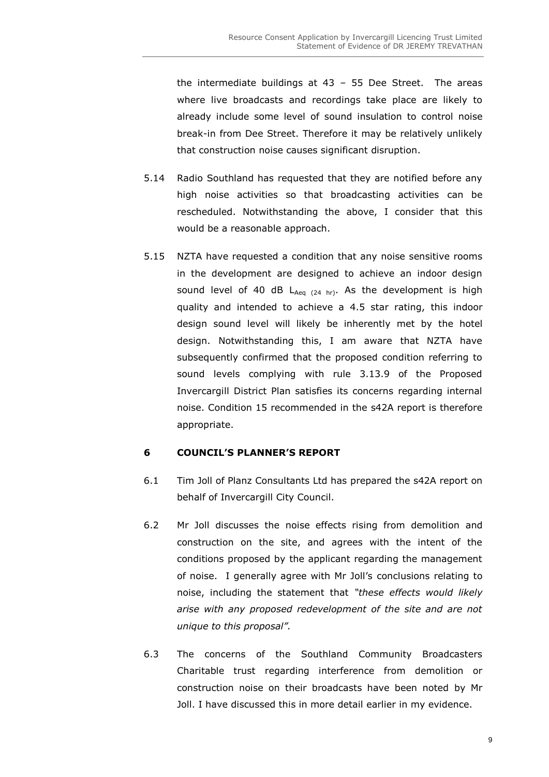the intermediate buildings at 43 – 55 Dee Street. The areas where live broadcasts and recordings take place are likely to already include some level of sound insulation to control noise break-in from Dee Street. Therefore it may be relatively unlikely that construction noise causes significant disruption.

- 5.14 Radio Southland has requested that they are notified before any high noise activities so that broadcasting activities can be rescheduled. Notwithstanding the above, I consider that this would be a reasonable approach.
- 5.15 NZTA have requested a condition that any noise sensitive rooms in the development are designed to achieve an indoor design sound level of 40 dB  $L_{Aea (24 hr)}$ . As the development is high quality and intended to achieve a 4.5 star rating, this indoor design sound level will likely be inherently met by the hotel design. Notwithstanding this, I am aware that NZTA have subsequently confirmed that the proposed condition referring to sound levels complying with rule 3.13.9 of the Proposed Invercargill District Plan satisfies its concerns regarding internal noise. Condition 15 recommended in the s42A report is therefore appropriate.

#### **6 COUNCIL'S PLANNER'S REPORT**

- 6.1 Tim Joll of Planz Consultants Ltd has prepared the s42A report on behalf of Invercargill City Council.
- 6.2 Mr Joll discusses the noise effects rising from demolition and construction on the site, and agrees with the intent of the conditions proposed by the applicant regarding the management of noise. I generally agree with Mr Joll's conclusions relating to noise, including the statement that *"these effects would likely arise with any proposed redevelopment of the site and are not unique to this proposal".*
- 6.3 The concerns of the Southland Community Broadcasters Charitable trust regarding interference from demolition or construction noise on their broadcasts have been noted by Mr Joll. I have discussed this in more detail earlier in my evidence.